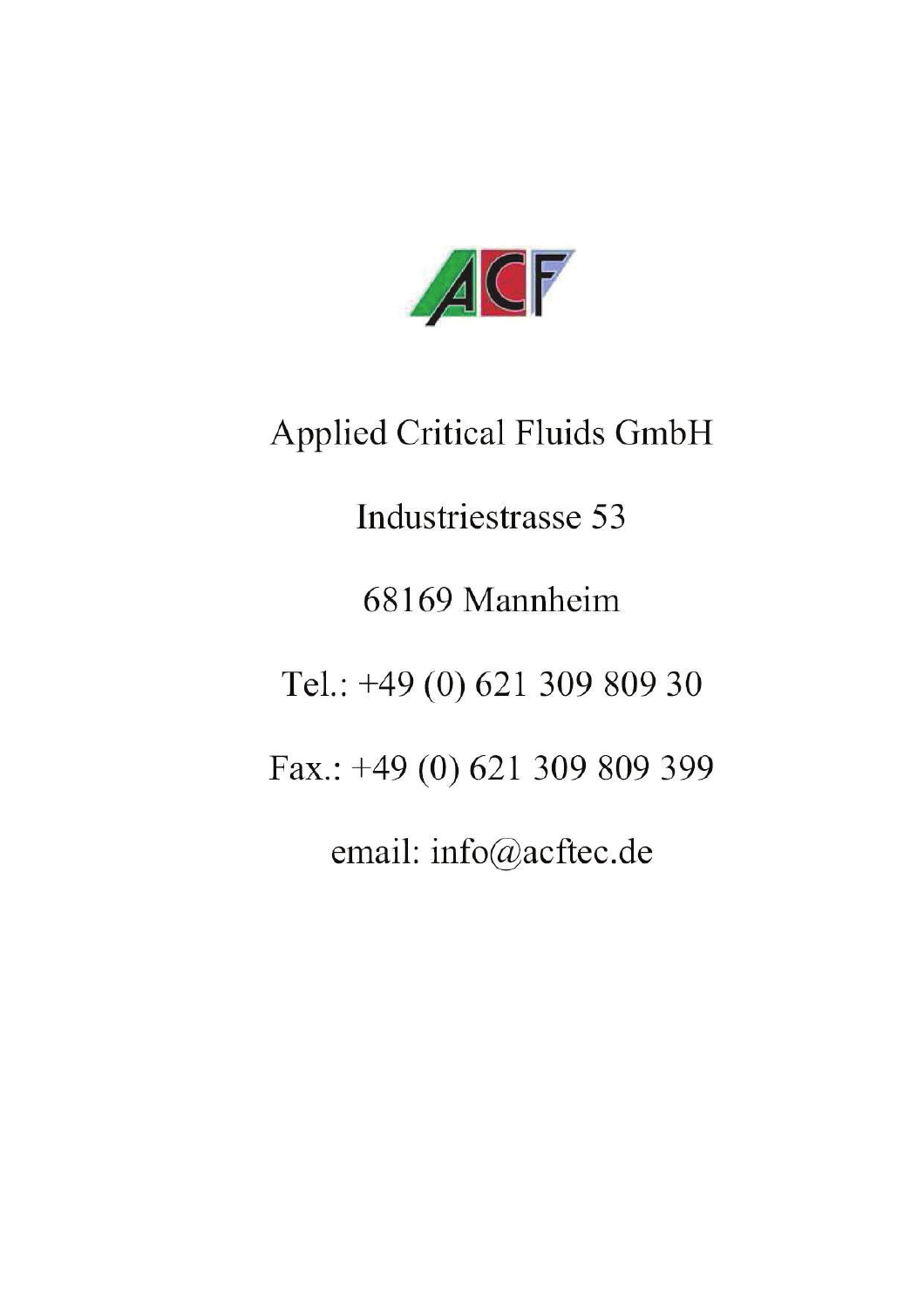

**Applied Critical Fluids GmbH** 

Industriestrasse 53

68169 Mannheim

Tel.: +49 (0) 621 309 809 30

Fax.: +49 (0) 621 309 809 399

email: info@acftec.de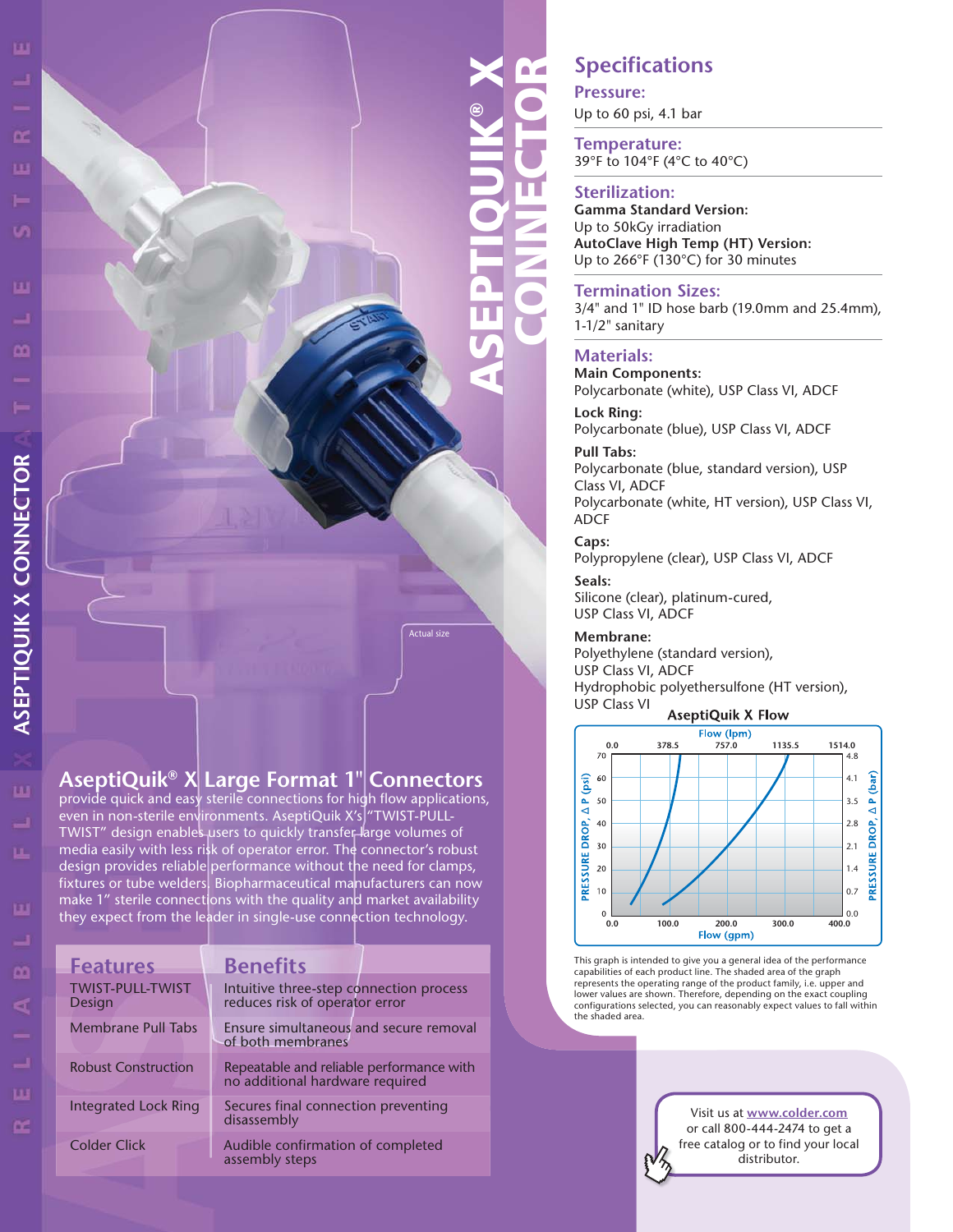# ASEPTIQUIK® X CONNECTOR

 $\blacksquare$ 

## **Specifications**

**Pressure:**

Up to 60 psi, 4.1 bar **Temperature:** 

39°F to 104°F (4°C to 40°C)

#### **Sterilization:**

**Gamma Standard Version:**  Up to 50kGy irradiation **AutoClave High Temp (HT) Version:**  Up to 266°F (130°C) for 30 minutes

#### **Termination Sizes:**

3/4" and 1" ID hose barb (19.0mm and 25.4mm), 1-1/2" sanitary

#### **Materials:**

**Main Components:**  Polycarbonate (white), USP Class VI, ADCF

**Lock Ring:**  Polycarbonate (blue), USP Class VI, ADCF

#### **Pull Tabs:**

Polycarbonate (blue, standard version), USP Class VI, ADCF Polycarbonate (white, HT version), USP Class VI, ADCF

**Caps:** 

Actual size

Polypropylene (clear), USP Class VI, ADCF

**Seals:**  Silicone (clear), platinum-cured, USP Class VI, ADCF

#### **Membrane:**

Polyethylene (standard version), USP Class VI, ADCF Hydrophobic polyethersulfone (HT version), USP Class VI

#### **AseptiQuik X Flow**



This graph is intended to give you a general idea of the performance capabilities of each product line. The shaded area of the graph represents the operating range of the product family, i.e. upper and lower values are shown. Therefore, depending on the exact coupling configurations selected, you can reasonably expect values to fall within the shaded area.

> Visit us at **www.colder.com** or call 800-444-2474 to get a free catalog or to find your local distributor.

## **AseptiQuik® X Large Format 1" Connectors**

provide quick and easy sterile connections for high flow applications, even in non-sterile environments. AseptiQuik X's "TWIST-PULL-TWIST" design enables users to quickly transfer large volumes of media easily with less risk of operator error. The connector's robust design provides reliable performance without the need for clamps, fixtures or tube welders. Biopharmaceutical manufacturers can now make 1" sterile connections with the quality and market availability they expect from the leader in single-use connection technology.

| <b>Features</b>                   | <b>Benefits</b>                                                             |  |  |
|-----------------------------------|-----------------------------------------------------------------------------|--|--|
| <b>TWIST-PULL-TWIST</b><br>Design | Intuitive three-step connection process<br>reduces risk of operator error   |  |  |
| Membrane Pull Tabs                | Ensure simultaneous and secure removal<br>of both membranes                 |  |  |
| <b>Robust Construction</b>        | Repeatable and reliable performance with<br>no additional hardware required |  |  |
| Integrated Lock Ring              | Secures final connection preventing<br>disassembly                          |  |  |
| <b>Colder Click</b>               | Audible confirmation of completed<br>assembly steps                         |  |  |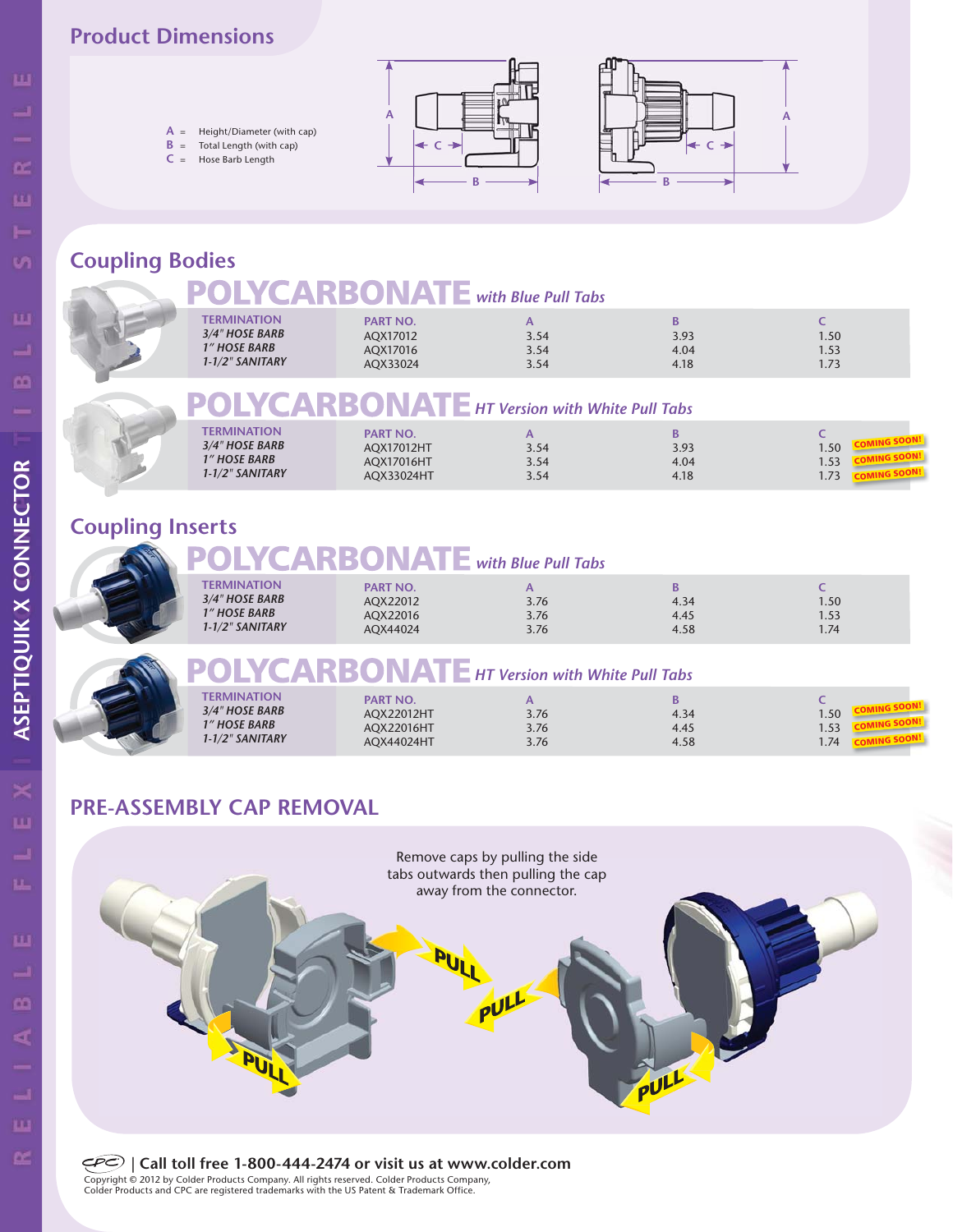#### **Product Dimensions**

**A** = Height/Diameter (with cap) **B** = Total Length (with cap) **C** = Hose Barb Length





## **Coupling Bodies**

# **POLYCARBONATE** HT Version with White Pull Tabs

| TERMINATION<br><b>PART NO.</b><br>3/4" HOSE BARB<br>AQX17012HT<br>3.93<br>3.54<br><b>1" HOSE BARB</b><br>AQX17016HT<br>4.04<br>3.54<br>1-1/2" SANITARY<br>AOX33024HT<br>4.18<br>3.54 | .50<br>.53 |
|--------------------------------------------------------------------------------------------------------------------------------------------------------------------------------------|------------|
|--------------------------------------------------------------------------------------------------------------------------------------------------------------------------------------|------------|

## **Coupling Inserts**

# **DLYCARBONATE** with Blue Pull Tabs

| <b>TERMINATION</b><br>3/4" HOSE BARB<br><b>1" HOSE BARB</b><br>$1 - 1/2$ " SANITARY | <b>PART NO.</b><br>AOX22012<br>AQX22016<br>AOX44024 | 3.76<br>3.76<br>3.76 | В<br>4.34<br>4.45<br>4.58 | 1.50<br>1.53<br>1.74 |  |
|-------------------------------------------------------------------------------------|-----------------------------------------------------|----------------------|---------------------------|----------------------|--|
|                                                                                     |                                                     |                      |                           |                      |  |



# **HTM POLYCARBONATE** HT Version with White Pull Tabs

| <b>TERMINATION</b><br><b>PART NO.</b><br>3/4" HOSE BARB<br>.50<br><b>AOX22012HT</b><br>3.76<br>4.34<br><b>1" HOSE BARB</b><br>3.76<br>AOX22016HT<br>4.45<br>1.J3<br>1-1/2" SANITARY<br>AOX44024HT<br>3.76<br>4.58<br>74<br>$\cdot$ $\cdot$ |  |
|--------------------------------------------------------------------------------------------------------------------------------------------------------------------------------------------------------------------------------------------|--|
|--------------------------------------------------------------------------------------------------------------------------------------------------------------------------------------------------------------------------------------------|--|

## **PRE-ASSEMBLY CAP REMOVAL**



**| Call toll free 1-800-444-2474 or visit us at www.colder.com** Copyright © 2012 by Colder Products Company. All rights reserved. Colder Products Company, Colder Products and CPC are registered trademarks with the US Patent & Trademark Office.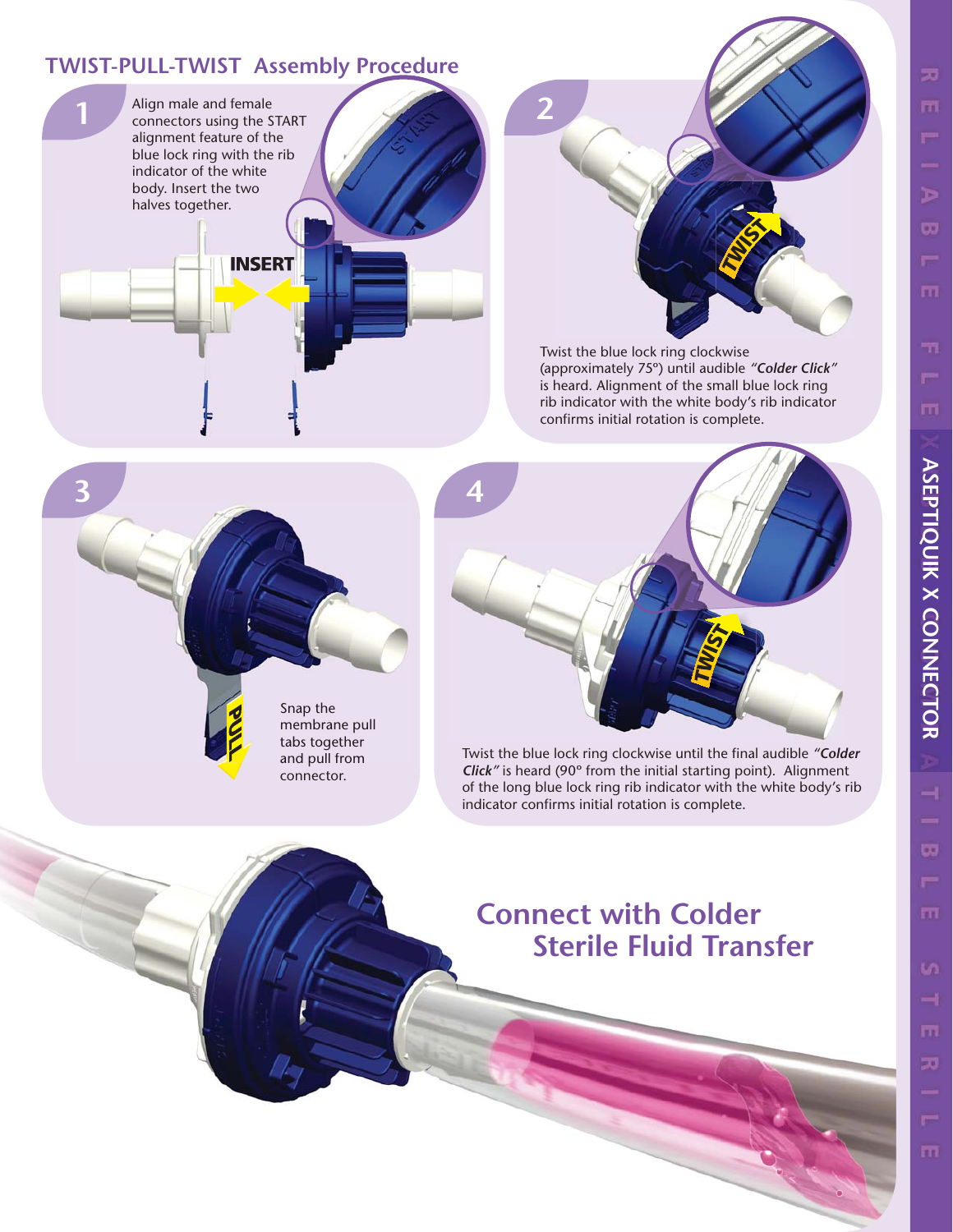## **TWIST-PULL-TWIST Assembly Procedure**





Twist the blue lock ring clockwise (approximately 75º) until audible *"Colder Click"* is heard. Alignment of the small blue lock ring rib indicator with the white body's rib indicator confirms initial rotation is complete.





Twist the blue lock ring clockwise until the final audible *"Colder Click"* is heard (90º from the initial starting point). Alignment of the long blue lock ring rib indicator with the white body's rib indicator confirms initial rotation is complete.

# **Connect with Colder Sterile Fluid Transfer**